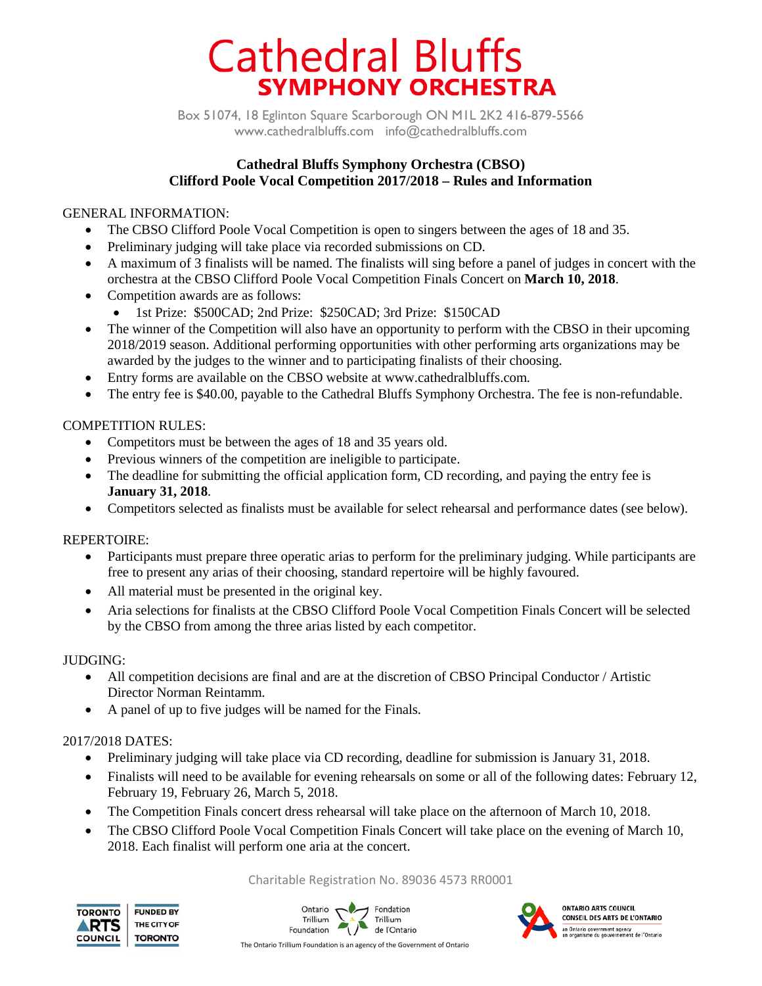# **Cathedral Bluffs SYMPHONY ORCHESTRA**

Box 51074, 18 Eglinton Square Scarborough ON M1L 2K2 416-879-5566 www.cathedralbluffs.com info@cathedralbluffs.com

# **Cathedral Bluffs Symphony Orchestra (CBSO) Clifford Poole Vocal Competition 2017/2018 – Rules and Information**

# GENERAL INFORMATION:

- The CBSO Clifford Poole Vocal Competition is open to singers between the ages of 18 and 35.
- Preliminary judging will take place via recorded submissions on CD.
- A maximum of 3 finalists will be named. The finalists will sing before a panel of judges in concert with the orchestra at the CBSO Clifford Poole Vocal Competition Finals Concert on **March 10, 2018**.
- Competition awards are as follows:
	- 1st Prize: \$500CAD; 2nd Prize: \$250CAD; 3rd Prize: \$150CAD
- The winner of the Competition will also have an opportunity to perform with the CBSO in their upcoming 2018/2019 season. Additional performing opportunities with other performing arts organizations may be awarded by the judges to the winner and to participating finalists of their choosing.
- Entry forms are available on the CBSO website at www.cathedralbluffs.com.
- The entry fee is \$40.00, payable to the Cathedral Bluffs Symphony Orchestra. The fee is non-refundable.

# COMPETITION RULES:

- Competitors must be between the ages of 18 and 35 years old.
- Previous winners of the competition are ineligible to participate.
- The deadline for submitting the official application form, CD recording, and paying the entry fee is **January 31, 2018**.
- Competitors selected as finalists must be available for select rehearsal and performance dates (see below).

#### REPERTOIRE:

- Participants must prepare three operatic arias to perform for the preliminary judging. While participants are free to present any arias of their choosing, standard repertoire will be highly favoured.
- All material must be presented in the original key.
- Aria selections for finalists at the CBSO Clifford Poole Vocal Competition Finals Concert will be selected by the CBSO from among the three arias listed by each competitor.

#### JUDGING:

- All competition decisions are final and are at the discretion of CBSO Principal Conductor / Artistic Director Norman Reintamm.
- A panel of up to five judges will be named for the Finals.

# 2017/2018 DATES:

- Preliminary judging will take place via CD recording, deadline for submission is January 31, 2018.
- Finalists will need to be available for evening rehearsals on some or all of the following dates: February 12, February 19, February 26, March 5, 2018.
- The Competition Finals concert dress rehearsal will take place on the afternoon of March 10, 2018.
- The CBSO Clifford Poole Vocal Competition Finals Concert will take place on the evening of March 10, 2018. Each finalist will perform one aria at the concert.

#### Charitable Registration No. 89036 4573 RR0001